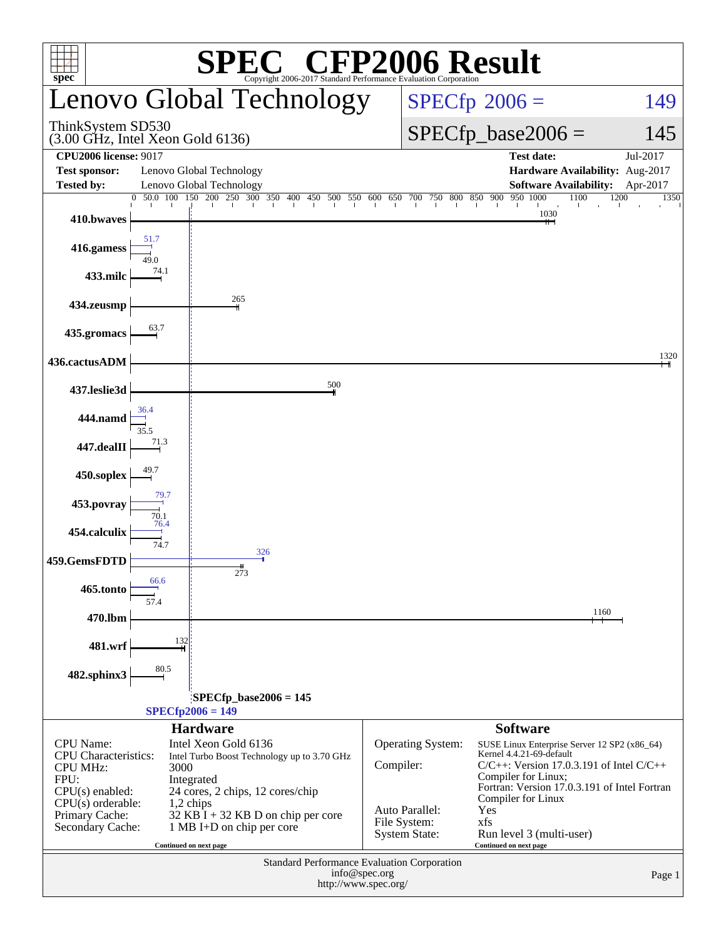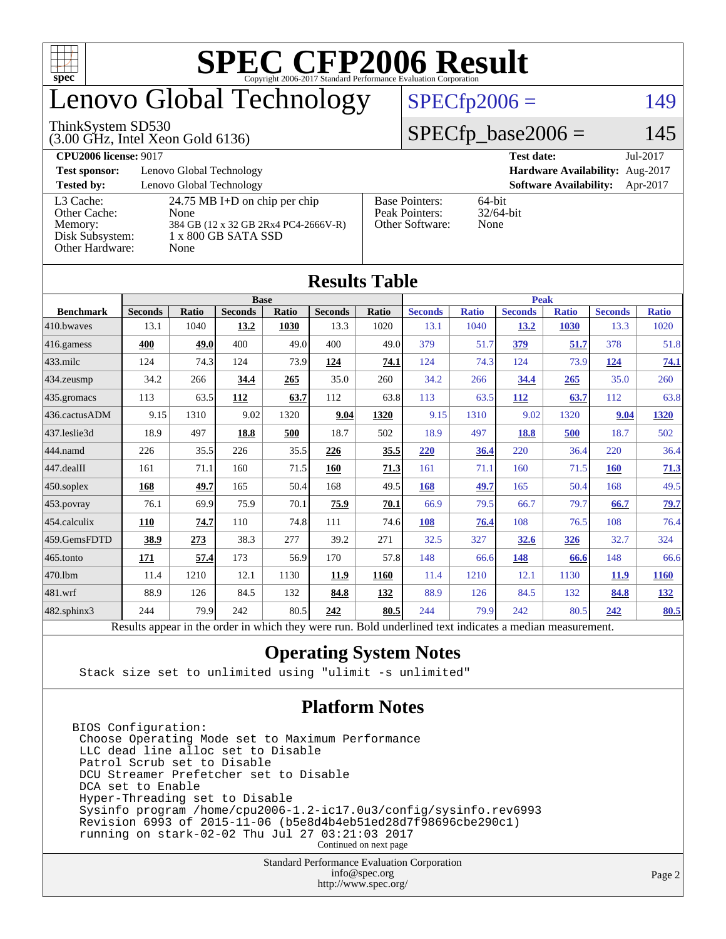

## enovo Global Technology

#### ThinkSystem SD530

(3.00 GHz, Intel Xeon Gold 6136)

### $SPECfp2006 = 149$  $SPECfp2006 = 149$

### $SPECfp\_base2006 = 145$

| <b>CPU2006 license: 9017</b>                                               |                                                                                                                        |                                                            | Jul-2017<br><b>Test date:</b>             |  |  |  |
|----------------------------------------------------------------------------|------------------------------------------------------------------------------------------------------------------------|------------------------------------------------------------|-------------------------------------------|--|--|--|
| <b>Test sponsor:</b>                                                       | Lenovo Global Technology                                                                                               | Hardware Availability: Aug-2017                            |                                           |  |  |  |
| <b>Tested by:</b>                                                          | Lenovo Global Technology                                                                                               |                                                            | <b>Software Availability:</b><br>Apr-2017 |  |  |  |
| L3 Cache:<br>Other Cache:<br>Memory:<br>Disk Subsystem:<br>Other Hardware: | $24.75 \text{ MB I+D}$ on chip per chip<br>None<br>384 GB (12 x 32 GB 2Rx4 PC4-2666V-R)<br>1 x 800 GB SATA SSD<br>None | <b>Base Pointers:</b><br>Peak Pointers:<br>Other Software: | 64-bit<br>$32/64$ -bit<br>None            |  |  |  |

**[Results Table](http://www.spec.org/auto/cpu2006/Docs/result-fields.html#ResultsTable)**

| Results Table          |                                                                                                          |              |                |       |                |       |                |              |                |              |                |              |
|------------------------|----------------------------------------------------------------------------------------------------------|--------------|----------------|-------|----------------|-------|----------------|--------------|----------------|--------------|----------------|--------------|
|                        | <b>Base</b>                                                                                              |              |                |       |                |       | <b>Peak</b>    |              |                |              |                |              |
| <b>Benchmark</b>       | <b>Seconds</b>                                                                                           | <b>Ratio</b> | <b>Seconds</b> | Ratio | <b>Seconds</b> | Ratio | <b>Seconds</b> | <b>Ratio</b> | <b>Seconds</b> | <b>Ratio</b> | <b>Seconds</b> | <b>Ratio</b> |
| 410.bwayes             | 13.1                                                                                                     | 1040         | 13.2           | 1030  | 13.3           | 1020  | 13.1           | 1040         | 13.2           | 1030         | 13.3           | 1020         |
| 416.gamess             | 400                                                                                                      | 49.0         | 400            | 49.0  | 400            | 49.0  | 379            | 51.7         | 379            | 51.7         | 378            | 51.8         |
| $433$ .milc            | 124                                                                                                      | 74.3         | 124            | 73.9  | 124            | 74.1  | 124            | 74.3         | 124            | 73.9         | 124            | 74.1         |
| 434.zeusmp             | 34.2                                                                                                     | 266          | 34.4           | 265   | 35.0           | 260   | 34.2           | 266          | 34.4           | 265          | 35.0           | 260          |
| $435$ .gromacs         | 113                                                                                                      | 63.5         | 112            | 63.7  | 112            | 63.8  | 113            | 63.5         | 112            | 63.7         | 112            | 63.8         |
| 436.cactusADM          | 9.15                                                                                                     | 1310         | 9.02           | 1320  | 9.04           | 1320  | 9.15           | 1310         | 9.02           | 1320         | 9.04           | 1320         |
| 437.leslie3d           | 18.9                                                                                                     | 497          | 18.8           | 500   | 18.7           | 502   | 18.9           | 497          | 18.8           | 500          | 18.7           | 502          |
| 444.namd               | 226                                                                                                      | 35.5         | 226            | 35.5  | 226            | 35.5  | 220            | 36.4         | 220            | 36.4         | 220            | 36.4         |
| $ 447 \text{.}$ dealII | 161                                                                                                      | 71.1         | 160            | 71.5  | 160            | 71.3  | 161            | 71.1         | 160            | 71.5         | <b>160</b>     | 71.3         |
| $450$ .soplex          | 168                                                                                                      | 49.7         | 165            | 50.4  | 168            | 49.5  | 168            | 49.7         | 165            | 50.4         | 168            | 49.5         |
| $ 453$ . povray        | 76.1                                                                                                     | 69.9         | 75.9           | 70.1  | 75.9           | 70.1  | 66.9           | 79.5         | 66.7           | 79.7         | 66.7           | 79.7         |
| $ 454$ .calculix       | 110                                                                                                      | 74.7         | 110            | 74.8  | 111            | 74.6  | 108            | 76.4         | 108            | 76.5         | 108            | 76.4         |
| 459.GemsFDTD           | 38.9                                                                                                     | 273          | 38.3           | 277   | 39.2           | 271   | 32.5           | 327          | 32.6           | 326          | 32.7           | 324          |
| 465.tonto              | 171                                                                                                      | 57.4         | 173            | 56.9  | 170            | 57.8  | 148            | 66.6         | 148            | 66.6         | 148            | 66.6         |
| 470.1bm                | 11.4                                                                                                     | 1210         | 12.1           | 1130  | 11.9           | 1160  | 11.4           | 1210         | 12.1           | 1130         | 11.9           | <b>1160</b>  |
| 481.wrf                | 88.9                                                                                                     | 126          | 84.5           | 132   | 84.8           | 132   | 88.9           | 126          | 84.5           | 132          | 84.8           | 132          |
| 482.sphinx3            | 244                                                                                                      | 79.9         | 242            | 80.5  | 242            | 80.5  | 244            | 79.9         | 242            | 80.5         | 242            | 80.5         |
|                        | Results appear in the order in which they were run. Bold underlined text indicates a median measurement. |              |                |       |                |       |                |              |                |              |                |              |

#### **[Operating System Notes](http://www.spec.org/auto/cpu2006/Docs/result-fields.html#OperatingSystemNotes)**

Stack size set to unlimited using "ulimit -s unlimited"

#### **[Platform Notes](http://www.spec.org/auto/cpu2006/Docs/result-fields.html#PlatformNotes)**

BIOS Configuration: Choose Operating Mode set to Maximum Performance LLC dead line alloc set to Disable Patrol Scrub set to Disable DCU Streamer Prefetcher set to Disable DCA set to Enable Hyper-Threading set to Disable Sysinfo program /home/cpu2006-1.2-ic17.0u3/config/sysinfo.rev6993 Revision 6993 of 2015-11-06 (b5e8d4b4eb51ed28d7f98696cbe290c1) running on stark-02-02 Thu Jul 27 03:21:03 2017 Continued on next page

> Standard Performance Evaluation Corporation [info@spec.org](mailto:info@spec.org) <http://www.spec.org/>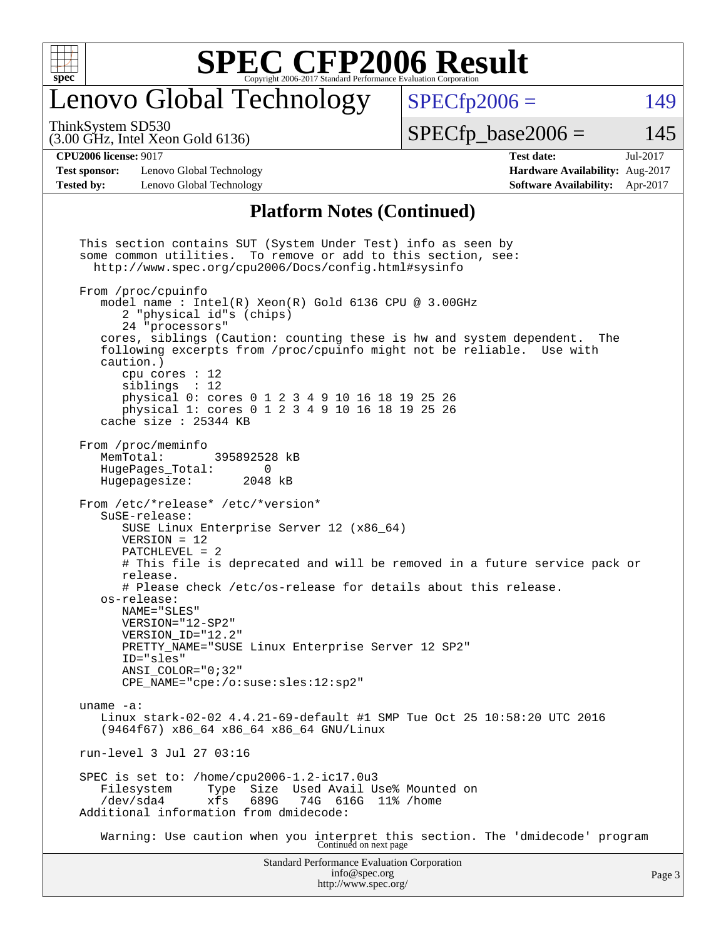

## enovo Global Technology

ThinkSystem SD530

(3.00 GHz, Intel Xeon Gold 6136)

 $SPECTp2006 = 149$ 

 $SPECTp\_base2006 = 145$ 

#### **[CPU2006 license:](http://www.spec.org/auto/cpu2006/Docs/result-fields.html#CPU2006license)** 9017 **[Test date:](http://www.spec.org/auto/cpu2006/Docs/result-fields.html#Testdate)** Jul-2017

**[Test sponsor:](http://www.spec.org/auto/cpu2006/Docs/result-fields.html#Testsponsor)** Lenovo Global Technology **[Hardware Availability:](http://www.spec.org/auto/cpu2006/Docs/result-fields.html#HardwareAvailability)** Aug-2017 **[Tested by:](http://www.spec.org/auto/cpu2006/Docs/result-fields.html#Testedby)** Lenovo Global Technology **[Software Availability:](http://www.spec.org/auto/cpu2006/Docs/result-fields.html#SoftwareAvailability)** Apr-2017

### **[Platform Notes \(Continued\)](http://www.spec.org/auto/cpu2006/Docs/result-fields.html#PlatformNotes)**

Standard Performance Evaluation Corporation [info@spec.org](mailto:info@spec.org) This section contains SUT (System Under Test) info as seen by some common utilities. To remove or add to this section, see: <http://www.spec.org/cpu2006/Docs/config.html#sysinfo> From /proc/cpuinfo model name : Intel(R) Xeon(R) Gold 6136 CPU @ 3.00GHz 2 "physical id"s (chips) 24 "processors" cores, siblings (Caution: counting these is hw and system dependent. The following excerpts from /proc/cpuinfo might not be reliable. Use with caution.) cpu cores : 12 siblings : 12 physical 0: cores 0 1 2 3 4 9 10 16 18 19 25 26 physical 1: cores 0 1 2 3 4 9 10 16 18 19 25 26 cache size : 25344 KB From /proc/meminfo<br>MemTotal: 395892528 kB HugePages\_Total: 0 Hugepagesize: 2048 kB From /etc/\*release\* /etc/\*version\* SuSE-release: SUSE Linux Enterprise Server 12 (x86\_64) VERSION = 12 PATCHLEVEL = 2 # This file is deprecated and will be removed in a future service pack or release. # Please check /etc/os-release for details about this release. os-release: NAME="SLES" VERSION="12-SP2" VERSION\_ID="12.2" PRETTY\_NAME="SUSE Linux Enterprise Server 12 SP2" ID="sles" ANSI\_COLOR="0;32" CPE\_NAME="cpe:/o:suse:sles:12:sp2" uname -a: Linux stark-02-02 4.4.21-69-default #1 SMP Tue Oct 25 10:58:20 UTC 2016 (9464f67) x86\_64 x86\_64 x86\_64 GNU/Linux run-level 3 Jul 27 03:16 SPEC is set to: /home/cpu2006-1.2-ic17.0u3 Filesystem Type Size Used Avail Use% Mounted on<br>
/dev/sda4 xfs 689G 74G 616G 11% /home /dev/sda4 xfs 689G 74G 616G 11% /home Additional information from dmidecode: Warning: Use caution when you interpret this section. The 'dmidecode' program Continued on next page

<http://www.spec.org/>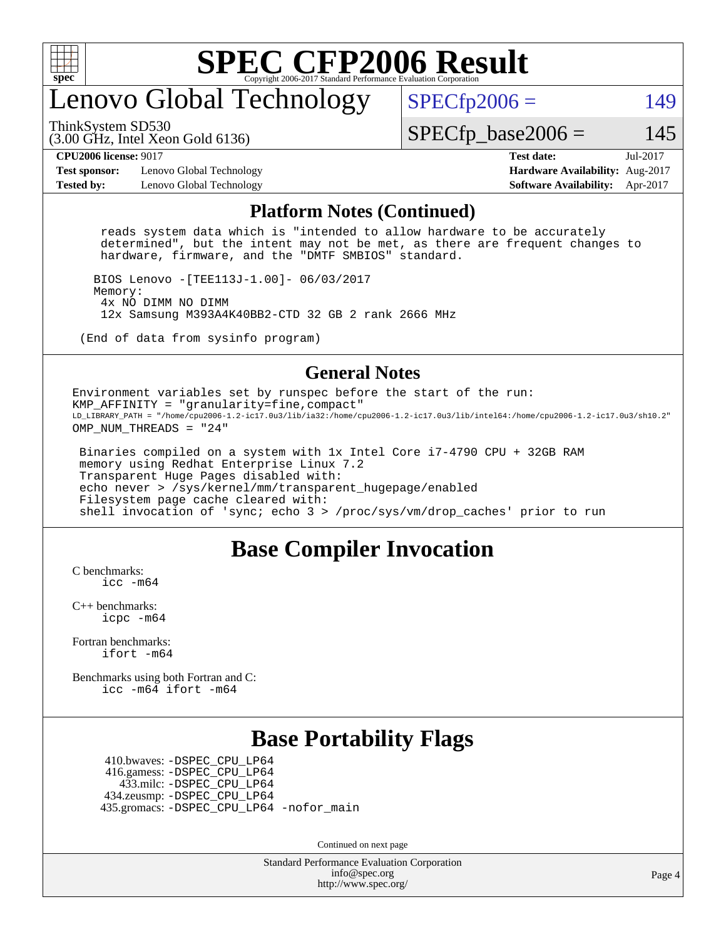

## enovo Global Technology

ThinkSystem SD530

 $SPECTp2006 = 149$ 

(3.00 GHz, Intel Xeon Gold 6136)

 $SPECTp\_base2006 = 145$ 

**[Test sponsor:](http://www.spec.org/auto/cpu2006/Docs/result-fields.html#Testsponsor)** Lenovo Global Technology **[Hardware Availability:](http://www.spec.org/auto/cpu2006/Docs/result-fields.html#HardwareAvailability)** Aug-2017 **[Tested by:](http://www.spec.org/auto/cpu2006/Docs/result-fields.html#Testedby)** Lenovo Global Technology **[Software Availability:](http://www.spec.org/auto/cpu2006/Docs/result-fields.html#SoftwareAvailability)** Apr-2017

**[CPU2006 license:](http://www.spec.org/auto/cpu2006/Docs/result-fields.html#CPU2006license)** 9017 **[Test date:](http://www.spec.org/auto/cpu2006/Docs/result-fields.html#Testdate)** Jul-2017

#### **[Platform Notes \(Continued\)](http://www.spec.org/auto/cpu2006/Docs/result-fields.html#PlatformNotes)**

 reads system data which is "intended to allow hardware to be accurately determined", but the intent may not be met, as there are frequent changes to hardware, firmware, and the "DMTF SMBIOS" standard.

 BIOS Lenovo -[TEE113J-1.00]- 06/03/2017 Memory: 4x NO DIMM NO DIMM 12x Samsung M393A4K40BB2-CTD 32 GB 2 rank 2666 MHz

(End of data from sysinfo program)

#### **[General Notes](http://www.spec.org/auto/cpu2006/Docs/result-fields.html#GeneralNotes)**

Environment variables set by runspec before the start of the run: KMP\_AFFINITY = "granularity=fine,compact" LD\_LIBRARY\_PATH = "/home/cpu2006-1.2-ic17.0u3/lib/ia32:/home/cpu2006-1.2-ic17.0u3/lib/intel64:/home/cpu2006-1.2-ic17.0u3/sh10.2" OMP NUM THREADS = "24"

 Binaries compiled on a system with 1x Intel Core i7-4790 CPU + 32GB RAM memory using Redhat Enterprise Linux 7.2 Transparent Huge Pages disabled with: echo never > /sys/kernel/mm/transparent\_hugepage/enabled Filesystem page cache cleared with: shell invocation of 'sync; echo 3 > /proc/sys/vm/drop\_caches' prior to run

### **[Base Compiler Invocation](http://www.spec.org/auto/cpu2006/Docs/result-fields.html#BaseCompilerInvocation)**

[C benchmarks](http://www.spec.org/auto/cpu2006/Docs/result-fields.html#Cbenchmarks): [icc -m64](http://www.spec.org/cpu2006/results/res2017q4/cpu2006-20170918-49651.flags.html#user_CCbase_intel_icc_64bit_bda6cc9af1fdbb0edc3795bac97ada53)

[C++ benchmarks:](http://www.spec.org/auto/cpu2006/Docs/result-fields.html#CXXbenchmarks) [icpc -m64](http://www.spec.org/cpu2006/results/res2017q4/cpu2006-20170918-49651.flags.html#user_CXXbase_intel_icpc_64bit_fc66a5337ce925472a5c54ad6a0de310)

[Fortran benchmarks](http://www.spec.org/auto/cpu2006/Docs/result-fields.html#Fortranbenchmarks): [ifort -m64](http://www.spec.org/cpu2006/results/res2017q4/cpu2006-20170918-49651.flags.html#user_FCbase_intel_ifort_64bit_ee9d0fb25645d0210d97eb0527dcc06e)

[Benchmarks using both Fortran and C](http://www.spec.org/auto/cpu2006/Docs/result-fields.html#BenchmarksusingbothFortranandC): [icc -m64](http://www.spec.org/cpu2006/results/res2017q4/cpu2006-20170918-49651.flags.html#user_CC_FCbase_intel_icc_64bit_bda6cc9af1fdbb0edc3795bac97ada53) [ifort -m64](http://www.spec.org/cpu2006/results/res2017q4/cpu2006-20170918-49651.flags.html#user_CC_FCbase_intel_ifort_64bit_ee9d0fb25645d0210d97eb0527dcc06e)

### **[Base Portability Flags](http://www.spec.org/auto/cpu2006/Docs/result-fields.html#BasePortabilityFlags)**

 410.bwaves: [-DSPEC\\_CPU\\_LP64](http://www.spec.org/cpu2006/results/res2017q4/cpu2006-20170918-49651.flags.html#suite_basePORTABILITY410_bwaves_DSPEC_CPU_LP64) 416.gamess: [-DSPEC\\_CPU\\_LP64](http://www.spec.org/cpu2006/results/res2017q4/cpu2006-20170918-49651.flags.html#suite_basePORTABILITY416_gamess_DSPEC_CPU_LP64) 433.milc: [-DSPEC\\_CPU\\_LP64](http://www.spec.org/cpu2006/results/res2017q4/cpu2006-20170918-49651.flags.html#suite_basePORTABILITY433_milc_DSPEC_CPU_LP64) 434.zeusmp: [-DSPEC\\_CPU\\_LP64](http://www.spec.org/cpu2006/results/res2017q4/cpu2006-20170918-49651.flags.html#suite_basePORTABILITY434_zeusmp_DSPEC_CPU_LP64) 435.gromacs: [-DSPEC\\_CPU\\_LP64](http://www.spec.org/cpu2006/results/res2017q4/cpu2006-20170918-49651.flags.html#suite_basePORTABILITY435_gromacs_DSPEC_CPU_LP64) [-nofor\\_main](http://www.spec.org/cpu2006/results/res2017q4/cpu2006-20170918-49651.flags.html#user_baseLDPORTABILITY435_gromacs_f-nofor_main)

Continued on next page

Standard Performance Evaluation Corporation [info@spec.org](mailto:info@spec.org) <http://www.spec.org/>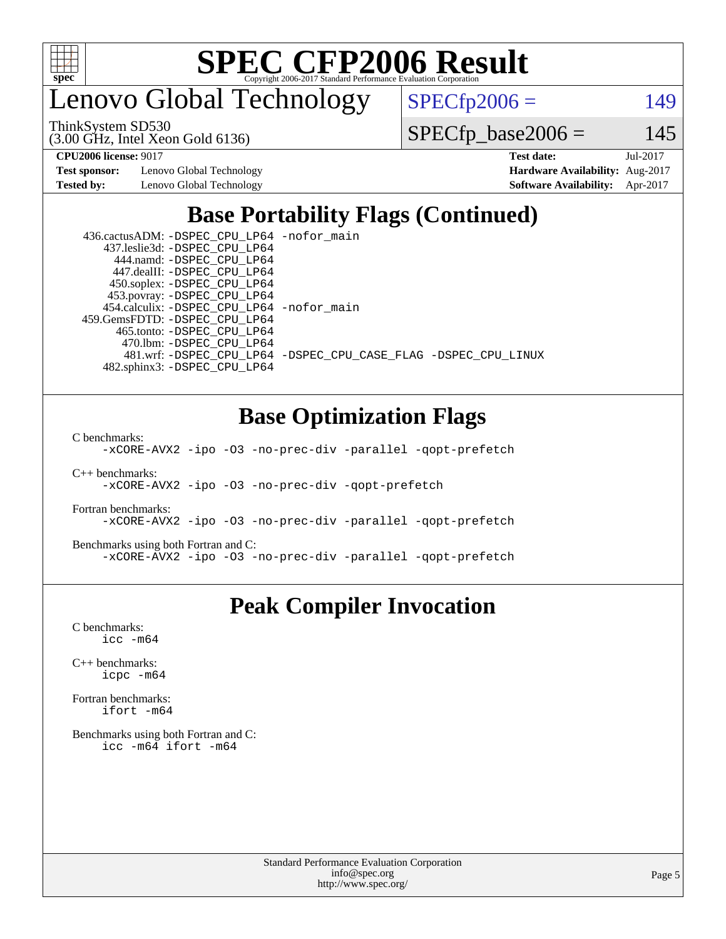

enovo Global Technology

ThinkSystem SD530

(3.00 GHz, Intel Xeon Gold 6136)

 $SPECfp2006 = 149$  $SPECfp2006 = 149$ 

 $SPECfp\_base2006 = 145$ 

**[Test sponsor:](http://www.spec.org/auto/cpu2006/Docs/result-fields.html#Testsponsor)** Lenovo Global Technology **[Hardware Availability:](http://www.spec.org/auto/cpu2006/Docs/result-fields.html#HardwareAvailability)** Aug-2017

**[CPU2006 license:](http://www.spec.org/auto/cpu2006/Docs/result-fields.html#CPU2006license)** 9017 **[Test date:](http://www.spec.org/auto/cpu2006/Docs/result-fields.html#Testdate)** Jul-2017 **[Tested by:](http://www.spec.org/auto/cpu2006/Docs/result-fields.html#Testedby)** Lenovo Global Technology **[Software Availability:](http://www.spec.org/auto/cpu2006/Docs/result-fields.html#SoftwareAvailability)** Apr-2017

## **[Base Portability Flags \(Continued\)](http://www.spec.org/auto/cpu2006/Docs/result-fields.html#BasePortabilityFlags)**

| 436.cactusADM: - DSPEC CPU LP64 - nofor main |                                                                |
|----------------------------------------------|----------------------------------------------------------------|
| 437.leslie3d: -DSPEC CPU LP64                |                                                                |
| 444.namd: -DSPEC CPU LP64                    |                                                                |
| 447.dealII: -DSPEC CPU LP64                  |                                                                |
| 450.soplex: -DSPEC_CPU_LP64                  |                                                                |
| 453.povray: -DSPEC_CPU_LP64                  |                                                                |
| 454.calculix: -DSPEC_CPU_LP64 -nofor_main    |                                                                |
| 459. GemsFDTD: - DSPEC CPU LP64              |                                                                |
| 465.tonto: -DSPEC CPU LP64                   |                                                                |
| 470.1bm: - DSPEC CPU LP64                    |                                                                |
|                                              | 481.wrf: -DSPEC CPU_LP64 -DSPEC_CPU_CASE_FLAG -DSPEC_CPU_LINUX |
| 482.sphinx3: -DSPEC CPU LP64                 |                                                                |

### **[Base Optimization Flags](http://www.spec.org/auto/cpu2006/Docs/result-fields.html#BaseOptimizationFlags)**

[C benchmarks](http://www.spec.org/auto/cpu2006/Docs/result-fields.html#Cbenchmarks):

[-xCORE-AVX2](http://www.spec.org/cpu2006/results/res2017q4/cpu2006-20170918-49651.flags.html#user_CCbase_f-xCORE-AVX2) [-ipo](http://www.spec.org/cpu2006/results/res2017q4/cpu2006-20170918-49651.flags.html#user_CCbase_f-ipo) [-O3](http://www.spec.org/cpu2006/results/res2017q4/cpu2006-20170918-49651.flags.html#user_CCbase_f-O3) [-no-prec-div](http://www.spec.org/cpu2006/results/res2017q4/cpu2006-20170918-49651.flags.html#user_CCbase_f-no-prec-div) [-parallel](http://www.spec.org/cpu2006/results/res2017q4/cpu2006-20170918-49651.flags.html#user_CCbase_f-parallel) [-qopt-prefetch](http://www.spec.org/cpu2006/results/res2017q4/cpu2006-20170918-49651.flags.html#user_CCbase_f-qopt-prefetch)

[C++ benchmarks:](http://www.spec.org/auto/cpu2006/Docs/result-fields.html#CXXbenchmarks) [-xCORE-AVX2](http://www.spec.org/cpu2006/results/res2017q4/cpu2006-20170918-49651.flags.html#user_CXXbase_f-xCORE-AVX2) [-ipo](http://www.spec.org/cpu2006/results/res2017q4/cpu2006-20170918-49651.flags.html#user_CXXbase_f-ipo) [-O3](http://www.spec.org/cpu2006/results/res2017q4/cpu2006-20170918-49651.flags.html#user_CXXbase_f-O3) [-no-prec-div](http://www.spec.org/cpu2006/results/res2017q4/cpu2006-20170918-49651.flags.html#user_CXXbase_f-no-prec-div) [-qopt-prefetch](http://www.spec.org/cpu2006/results/res2017q4/cpu2006-20170918-49651.flags.html#user_CXXbase_f-qopt-prefetch)

[Fortran benchmarks](http://www.spec.org/auto/cpu2006/Docs/result-fields.html#Fortranbenchmarks): [-xCORE-AVX2](http://www.spec.org/cpu2006/results/res2017q4/cpu2006-20170918-49651.flags.html#user_FCbase_f-xCORE-AVX2) [-ipo](http://www.spec.org/cpu2006/results/res2017q4/cpu2006-20170918-49651.flags.html#user_FCbase_f-ipo) [-O3](http://www.spec.org/cpu2006/results/res2017q4/cpu2006-20170918-49651.flags.html#user_FCbase_f-O3) [-no-prec-div](http://www.spec.org/cpu2006/results/res2017q4/cpu2006-20170918-49651.flags.html#user_FCbase_f-no-prec-div) [-parallel](http://www.spec.org/cpu2006/results/res2017q4/cpu2006-20170918-49651.flags.html#user_FCbase_f-parallel) [-qopt-prefetch](http://www.spec.org/cpu2006/results/res2017q4/cpu2006-20170918-49651.flags.html#user_FCbase_f-qopt-prefetch)

[Benchmarks using both Fortran and C](http://www.spec.org/auto/cpu2006/Docs/result-fields.html#BenchmarksusingbothFortranandC): [-xCORE-AVX2](http://www.spec.org/cpu2006/results/res2017q4/cpu2006-20170918-49651.flags.html#user_CC_FCbase_f-xCORE-AVX2) [-ipo](http://www.spec.org/cpu2006/results/res2017q4/cpu2006-20170918-49651.flags.html#user_CC_FCbase_f-ipo) [-O3](http://www.spec.org/cpu2006/results/res2017q4/cpu2006-20170918-49651.flags.html#user_CC_FCbase_f-O3) [-no-prec-div](http://www.spec.org/cpu2006/results/res2017q4/cpu2006-20170918-49651.flags.html#user_CC_FCbase_f-no-prec-div) [-parallel](http://www.spec.org/cpu2006/results/res2017q4/cpu2006-20170918-49651.flags.html#user_CC_FCbase_f-parallel) [-qopt-prefetch](http://www.spec.org/cpu2006/results/res2017q4/cpu2006-20170918-49651.flags.html#user_CC_FCbase_f-qopt-prefetch)

### **[Peak Compiler Invocation](http://www.spec.org/auto/cpu2006/Docs/result-fields.html#PeakCompilerInvocation)**

[C benchmarks](http://www.spec.org/auto/cpu2006/Docs/result-fields.html#Cbenchmarks): [icc -m64](http://www.spec.org/cpu2006/results/res2017q4/cpu2006-20170918-49651.flags.html#user_CCpeak_intel_icc_64bit_bda6cc9af1fdbb0edc3795bac97ada53)

[C++ benchmarks:](http://www.spec.org/auto/cpu2006/Docs/result-fields.html#CXXbenchmarks) [icpc -m64](http://www.spec.org/cpu2006/results/res2017q4/cpu2006-20170918-49651.flags.html#user_CXXpeak_intel_icpc_64bit_fc66a5337ce925472a5c54ad6a0de310)

[Fortran benchmarks](http://www.spec.org/auto/cpu2006/Docs/result-fields.html#Fortranbenchmarks): [ifort -m64](http://www.spec.org/cpu2006/results/res2017q4/cpu2006-20170918-49651.flags.html#user_FCpeak_intel_ifort_64bit_ee9d0fb25645d0210d97eb0527dcc06e)

[Benchmarks using both Fortran and C](http://www.spec.org/auto/cpu2006/Docs/result-fields.html#BenchmarksusingbothFortranandC): [icc -m64](http://www.spec.org/cpu2006/results/res2017q4/cpu2006-20170918-49651.flags.html#user_CC_FCpeak_intel_icc_64bit_bda6cc9af1fdbb0edc3795bac97ada53) [ifort -m64](http://www.spec.org/cpu2006/results/res2017q4/cpu2006-20170918-49651.flags.html#user_CC_FCpeak_intel_ifort_64bit_ee9d0fb25645d0210d97eb0527dcc06e)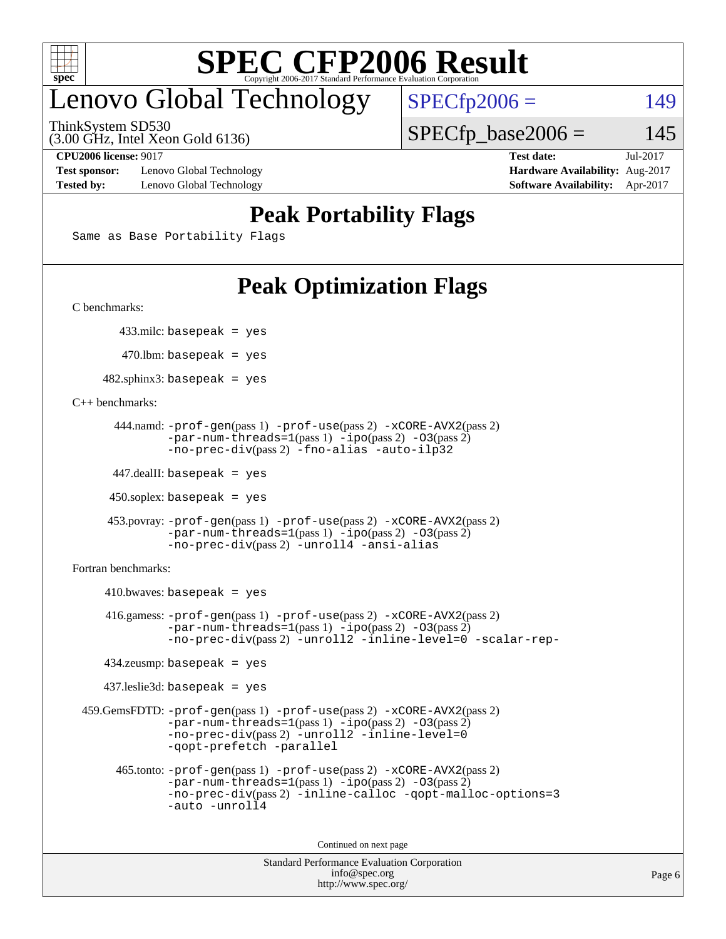

## enovo Global Technology

ThinkSystem SD530

(3.00 GHz, Intel Xeon Gold 6136)

 $SPECfp2006 = 149$  $SPECfp2006 = 149$  $SPECTp\_base2006 = 145$ 

**[Test sponsor:](http://www.spec.org/auto/cpu2006/Docs/result-fields.html#Testsponsor)** Lenovo Global Technology **[Hardware Availability:](http://www.spec.org/auto/cpu2006/Docs/result-fields.html#HardwareAvailability)** Aug-2017

**[CPU2006 license:](http://www.spec.org/auto/cpu2006/Docs/result-fields.html#CPU2006license)** 9017 **[Test date:](http://www.spec.org/auto/cpu2006/Docs/result-fields.html#Testdate)** Jul-2017 **[Tested by:](http://www.spec.org/auto/cpu2006/Docs/result-fields.html#Testedby)** Lenovo Global Technology **[Software Availability:](http://www.spec.org/auto/cpu2006/Docs/result-fields.html#SoftwareAvailability)** Apr-2017

## **[Peak Portability Flags](http://www.spec.org/auto/cpu2006/Docs/result-fields.html#PeakPortabilityFlags)**

Same as Base Portability Flags

## **[Peak Optimization Flags](http://www.spec.org/auto/cpu2006/Docs/result-fields.html#PeakOptimizationFlags)**

[C benchmarks](http://www.spec.org/auto/cpu2006/Docs/result-fields.html#Cbenchmarks):

433.milc: basepeak = yes

 $470.$ lbm: basepeak = yes

 $482$ .sphinx3: basepeak = yes

[C++ benchmarks:](http://www.spec.org/auto/cpu2006/Docs/result-fields.html#CXXbenchmarks)

```
 444.namd: -prof-gen(pass 1) -prof-use(pass 2) -xCORE-AVX2(pass 2)
        -par-num-threads=1(pass 1) -ipo(pass 2) -O3(pass 2)
        -no-prec-div(pass 2) -fno-alias -auto-ilp32
```
447.dealII: basepeak = yes

 $450$ .soplex: basepeak = yes

```
 453.povray: -prof-gen(pass 1) -prof-use(pass 2) -xCORE-AVX2(pass 2)
         -par-num-threads=1-ipo-O3(pass 2)-no-prec-div(pass 2) -unroll4 -ansi-alias
```
[Fortran benchmarks](http://www.spec.org/auto/cpu2006/Docs/result-fields.html#Fortranbenchmarks):

```
410.bwaves: basepeak = yes 416.gamess: -prof-gen(pass 1) -prof-use(pass 2) -xCORE-AVX2(pass 2)
            -par-num-threads=1-ipo-O3(pass 2)-no-prec-div(pass 2) -unroll2 -inline-level=0 -scalar-rep-
    434.zeusmp: basepeak = yes
    437.leslie3d: basepeak = yes
 459.GemsFDTD: -prof-gen(pass 1) -prof-use(pass 2) -xCORE-AVX2(pass 2)
            -par-num-threads=1-ipo-O3(pass 2)-no-prec-div(pass 2) -unroll2 -inline-level=0
            -qopt-prefetch -parallel
      465.tonto: -prof-gen(pass 1) -prof-use(pass 2) -xCORE-AVX2(pass 2)
            -par-num-threads=1(pass 1) -ipo(pass 2) -O3(pass 2)
            -no-prec-div-inline-calloc-qopt-malloc-options=3
            -auto -unroll4
```
Continued on next page

```
Standard Performance Evaluation Corporation
             info@spec.org
           http://www.spec.org/
```